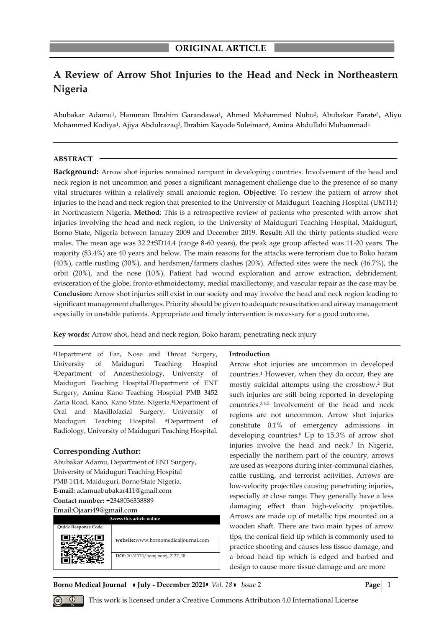# **A Review of Arrow Shot Injuries to the Head and Neck in Northeastern Nigeria**

Abubakar Adamu<sup>1</sup>, Hamman Ibrahim Garandawa<sup>1</sup>, Ahmed Mohammed Nuhu<sup>2</sup>, Abubakar Farate<sup>5</sup>, Aliyu Mohammed Kodiya<sup>1</sup>, Ajiya Abdulrazaq<sup>3</sup>, Ibrahim Kayode Suleiman<sup>4</sup>, Amina Abdullahi Muhammad<sup>1</sup>

#### **ABSTRACT**

**Background:** Arrow shot injuries remained rampant in developing countries. Involvement of the head and neck region is not uncommon and poses a significant management challenge due to the presence of so many vital structures within a relatively small anatomic region. **Objective**: To review the pattern of arrow shot injuries to the head and neck region that presented to the University of Maiduguri Teaching Hospital (UMTH) in Northeastern Nigeria. **Method**: This is a retrospective review of patients who presented with arrow shot injuries involving the head and neck region, to the University of Maiduguri Teaching Hospital, Maiduguri, Borno State, Nigeria between January 2009 and December 2019. **Result:** All the thirty patients studied were males. The mean age was 32.2±SD14.4 (range 8-60 years), the peak age group affected was 11-20 years. The majority (83.4%) are 40 years and below. The main reasons for the attacks were terrorism due to Boko haram (40%), cattle rustling (30%), and herdsmen/farmers clashes (20%). Affected sites were the neck (46.7%), the orbit (20%), and the nose (10%). Patient had wound exploration and arrow extraction, debridement, evisceration of the globe, fronto-ethmoidectomy, medial maxillectomy, and vascular repair as the case may be. **Conclusion:** Arrow shot injuries still exist in our society and may involve the head and neck region leading to significant management challenges. Priority should be given to adequate resuscitation and airway management especially in unstable patients. Appropriate and timely intervention is necessary for a good outcome.

**Key words:** Arrow shot, head and neck region, Boko haram, penetrating neck injury

**<sup>1</sup>**Department of Ear, Nose and Throat Surgery, University of Maiduguri Teaching Hospital **<sup>2</sup>**Department of Anaesthesiology, University of Maiduguri Teaching Hospital.**3**Department of ENT Surgery, Aminu Kano Teaching Hospital PMB 3452 Zaria Road, Kano, Kano State, Nigeria.**4**Department of Oral and Maxillofacial Surgery, University of Maiduguri Teaching Hospital. **<sup>5</sup>**Department of Radiology, University of Maiduguri Teaching Hospital.

# **Corresponding Author:**

Abubakar Adamu, Department of ENT Surgery, University of Maiduguri Teaching Hospital PMB 1414, Maiduguri, Borno State Nigeria. **E-mail:** adamuabubakar411@gmail.com **Contact number:** +2348036338889 Email:Ojaari49@gmail.com

**Access this article online Quick Response Code website:**www.bornomedicaljournal.com **DOI**: 10.31173/bomj.bomj\_2137\_18

#### **Introduction**

Arrow shot injuries are uncommon in developed countries. <sup>1</sup> However, when they do occur, they are mostly suicidal attempts using the crossbow. <sup>2</sup> But such injuries are still being reported in developing countries. 3,4,5 Involvement of the head and neck regions are not uncommon. Arrow shot injuries constitute 0.1% of emergency admissions in developing countries. <sup>6</sup> Up to 15.3% of arrow shot injuries involve the head and neck. 3 In Nigeria, especially the northern part of the country, arrows are used as weapons during inter-communal clashes, cattle rustling, and terrorist activities. Arrows are low-velocity projectiles causing penetrating injuries, especially at close range. They generally have a less damaging effect than high-velocity projectiles. Arrows are made up of metallic tips mounted on a wooden shaft. There are two main types of arrow tips, the conical field tip which is commonly used to practice shooting and causes less tissue damage, and a broad head tip which is edged and barbed and design to cause more tissue damage and are more

**Borno Medical Journal • July - December 2021 •** *Vol.* 18 • *Issue* 2 **Page** 2 **Page** 1



*Q* This work is licensed under a Creative Commons Attribution 4.0 International License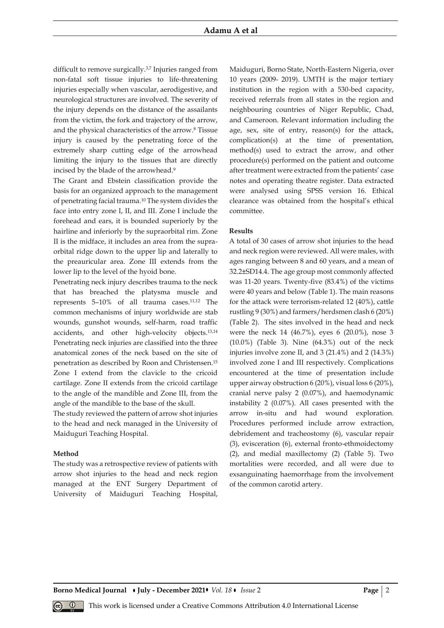difficult to remove surgically.3,7 Injuries ranged from non-fatal soft tissue injuries to life-threatening injuries especially when vascular, aerodigestive, and neurological structures are involved. The severity of the injury depends on the distance of the assailants from the victim, the fork and trajectory of the arrow, and the physical characteristics of the arrow. <sup>8</sup> Tissue injury is caused by the penetrating force of the extremely sharp cutting edge of the arrowhead limiting the injury to the tissues that are directly incised by the blade of the arrowhead. 9

The Grant and Ebstein classification provide the basis for an organized approach to the management of penetrating facial trauma. <sup>10</sup> The system divides the face into entry zone I, II, and III. Zone I include the forehead and ears, it is bounded superiorly by the hairline and inferiorly by the supraorbital rim. Zone II is the midface, it includes an area from the supraorbital ridge down to the upper lip and laterally to the preauricular area. Zone III extends from the lower lip to the level of the hyoid bone.

Penetrating neck injury describes trauma to the neck that has breached the platysma muscle and represents 5–10% of all trauma cases.11,12 The common mechanisms of injury worldwide are stab wounds, gunshot wounds, self-harm, road traffic accidents, and other high-velocity objects.13,14 Penetrating neck injuries are classified into the three anatomical zones of the neck based on the site of penetration as described by Roon and Christensen. 15 Zone I extend from the clavicle to the cricoid cartilage. Zone II extends from the cricoid cartilage to the angle of the mandible and Zone III, from the angle of the mandible to the base of the skull.

The study reviewed the pattern of arrow shot injuries to the head and neck managed in the University of Maiduguri Teaching Hospital.

### **Method**

The study was a retrospective review of patients with arrow shot injuries to the head and neck region managed at the ENT Surgery Department of University of Maiduguri Teaching Hospital, Maiduguri, Borno State, North-Eastern Nigeria, over 10 years (2009- 2019). UMTH is the major tertiary institution in the region with a 530-bed capacity, received referrals from all states in the region and neighbouring countries of Niger Republic, Chad, and Cameroon. Relevant information including the age, sex, site of entry, reason(s) for the attack, complication(s) at the time of presentation, method(s) used to extract the arrow, and other procedure(s) performed on the patient and outcome after treatment were extracted from the patients' case notes and operating theatre register. Data extracted were analysed using SPSS version 16. Ethical clearance was obtained from the hospital's ethical committee.

#### **Results**

A total of 30 cases of arrow shot injuries to the head and neck region were reviewed. All were males, with ages ranging between 8 and 60 years, and a mean of 32.2±SD14.4. The age group most commonly affected was 11-20 years. Twenty-five (83.4%) of the victims were 40 years and below (Table 1). The main reasons for the attack were terrorism-related 12 (40%), cattle rustling 9 (30%) and farmers/herdsmen clash 6 (20%) (Table 2). The sites involved in the head and neck were the neck 14 (46.7%), eyes 6 (20.0%), nose 3 (10.0%) (Table 3). Nine (64.3%) out of the neck injuries involve zone II, and 3 (21.4%) and 2 (14.3%) involved zone I and III respectively. Complications encountered at the time of presentation include upper airway obstruction 6 (20%), visual loss 6 (20%), cranial nerve palsy 2 (0.07%), and haemodynamic instability 2 (0.07%). All cases presented with the arrow in-situ and had wound exploration. Procedures performed include arrow extraction, debridement and tracheostomy (6), vascular repair (3), evisceration (6), external fronto-ethmoidectomy (2), and medial maxillectomy (2) (Table 5). Two mortalities were recorded, and all were due to exsanguinating haemorrhage from the involvement of the common carotid artery.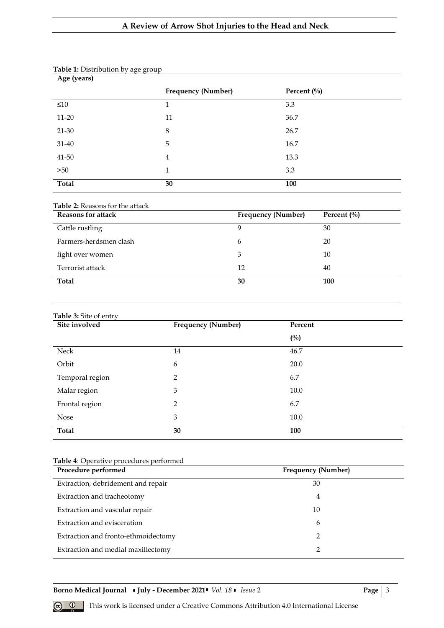# **A Review of Arrow Shot Injuries to the Head and Neck**

| Age (years)  |                           |               |
|--------------|---------------------------|---------------|
|              | <b>Frequency (Number)</b> | Percent $(\%$ |
| $\leq 10$    | 1                         | 3.3           |
| $11 - 20$    | 11                        | 36.7          |
| 21-30        | 8                         | 26.7          |
| 31-40        | 5                         | 16.7          |
| $41 - 50$    | $\overline{4}$            | 13.3          |
| >50          | $\mathbf{1}$              | 3.3           |
| <b>Total</b> | 30                        | 100           |

## **Table 1:** Distribution by age group

## **Table 2:** Reasons for the attack

| <b>Reasons for attack</b> | <b>Frequency (Number)</b> | Percent $(\%$ |
|---------------------------|---------------------------|---------------|
| Cattle rustling           | 9                         | 30            |
| Farmers-herdsmen clash    | 6                         | 20            |
| fight over women          | 3                         | 10            |
| Terrorist attack          | 12                        | 40            |
| Total                     | 30                        | 100           |

## **Table 3:** Site of entry

| Site involved   | <b>Frequency (Number)</b> | Percent       |
|-----------------|---------------------------|---------------|
|                 |                           | $(^{0}/_{0})$ |
| Neck            | 14                        | 46.7          |
| Orbit           | 6                         | 20.0          |
| Temporal region | 2                         | 6.7           |
| Malar region    | 3                         | 10.0          |
| Frontal region  | 2                         | 6.7           |
| <b>Nose</b>     | 3                         | 10.0          |
| <b>Total</b>    | 30                        | 100           |

# **Table 4**: Operative procedures performed

| Procedure performed                 | Frequency (Number) |
|-------------------------------------|--------------------|
| Extraction, debridement and repair  | 30                 |
| Extraction and tracheotomy          | 4                  |
| Extraction and vascular repair      | 10                 |
| Extraction and evisceration         | 6                  |
| Extraction and fronto-ethmoidectomy | 2                  |
| Extraction and medial maxillectomy  |                    |

**Borno Medical Journal • July - December 2021•** *Vol. 18* • *Issue* 2 **Page** | 3

 **<sup>** $\circled{e}$  **This work is licensed under a Creative Commons Attribution 4.0 International License**</sup>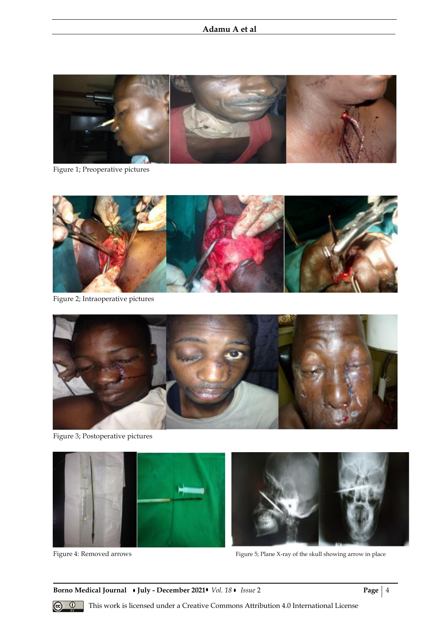# **Adamu A et al**



Figure 1; Preoperative pictures



Figure 2; Intraoperative pictures



Figure 3; Postoperative pictures



Figure 4: Removed arrows Figure 5; Plane X-ray of the skull showing arrow in place

**Borno Medical Journal • July - December 2021 • Vol. 18 • Issue 2 Page | 4** 



**<sup><b> <b>a 1** This work is licensed under a Creative Commons Attribution 4.0 International License</sup>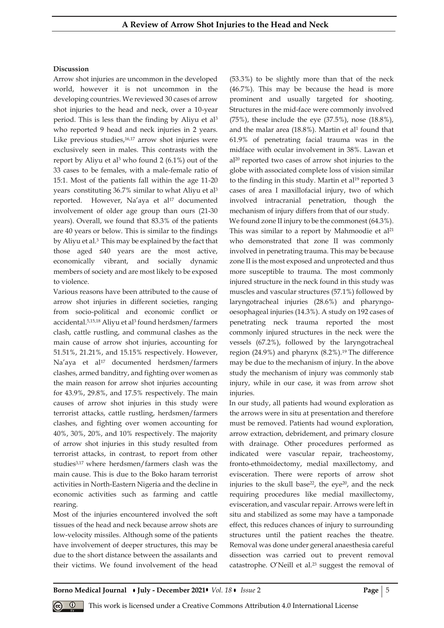### **Discussion**

Arrow shot injuries are uncommon in the developed world, however it is not uncommon in the developing countries. We reviewed 30 cases of arrow shot injuries to the head and neck, over a 10-year period. This is less than the finding by Aliyu et al<sup>3</sup> who reported 9 head and neck injuries in 2 years. Like previous studies, 16,17 arrow shot injuries were exclusively seen in males. This contrasts with the report by Aliyu et al<sup>3</sup> who found 2  $(6.1\%)$  out of the 33 cases to be females, with a male-female ratio of 15:1. Most of the patients fall within the age 11-20 years constituting 36.7% similar to what Aliyu et al<sup>3</sup> reported. However, Na'aya et al<sup>17</sup> documented involvement of older age group than ours (21-30 years). Overall, we found that 83.3% of the patients are 40 years or below. This is similar to the findings by Aliyu et al. <sup>3</sup> This may be explained by the fact that those aged ≤40 years are the most active, economically vibrant, and socially dynamic members of society and are most likely to be exposed to violence.

Various reasons have been attributed to the cause of arrow shot injuries in different societies, ranging from socio-political and economic conflict or accidental.<sup>5,15,18</sup> Aliyu et al<sup>3</sup> found herdsmen/farmers clash, cattle rustling, and communal clashes as the main cause of arrow shot injuries, accounting for 51.51%, 21.21%, and 15.15% respectively. However, Na'aya et al<sup>17</sup> documented herdsmen/farmers clashes, armed banditry, and fighting over women as the main reason for arrow shot injuries accounting for 43.9%, 29.8%, and 17.5% respectively. The main causes of arrow shot injuries in this study were terrorist attacks, cattle rustling, herdsmen/farmers clashes, and fighting over women accounting for 40%, 30%, 20%, and 10% respectively. The majority of arrow shot injuries in this study resulted from terrorist attacks, in contrast, to report from other studies3,17 where herdsmen/farmers clash was the main cause. This is due to the Boko haram terrorist activities in North-Eastern Nigeria and the decline in economic activities such as farming and cattle rearing.

Most of the injuries encountered involved the soft tissues of the head and neck because arrow shots are low-velocity missiles. Although some of the patients have involvement of deeper structures, this may be due to the short distance between the assailants and their victims. We found involvement of the head (53.3%) to be slightly more than that of the neck (46.7%). This may be because the head is more prominent and usually targeted for shooting. Structures in the mid-face were commonly involved (75%), these include the eye (37.5%), nose (18.8%), and the malar area (18.8%). Martin et al<sup>1</sup> found that 61.9% of penetrating facial trauma was in the midface with ocular involvement in 38%. Lawan et al<sup>20</sup> reported two cases of arrow shot injuries to the globe with associated complete loss of vision similar to the finding in this study. Martin et al<sup>19</sup> reported 3 cases of area I maxillofacial injury, two of which involved intracranial penetration, though the mechanism of injury differs from that of our study. We found zone II injury to be the commonest  $(64.3\%)$ . This was similar to a report by Mahmoodie et al<sup>21</sup> who demonstrated that zone II was commonly involved in penetrating trauma. This may be because zone II is the most exposed and unprotected and thus more susceptible to trauma. The most commonly injured structure in the neck found in this study was muscles and vascular structures (57.1%) followed by laryngotracheal injuries (28.6%) and pharyngooesophageal injuries (14.3%). A study on 192 cases of penetrating neck trauma reported the most commonly injured structures in the neck were the

vessels (67.2%), followed by the laryngotracheal region  $(24.9\%)$  and pharynx  $(8.2\%)$ .<sup>19</sup> The difference may be due to the mechanism of injury. In the above study the mechanism of injury was commonly stab injury, while in our case, it was from arrow shot injuries.

In our study, all patients had wound exploration as the arrows were in situ at presentation and therefore must be removed. Patients had wound exploration, arrow extraction, debridement, and primary closure with drainage. Other procedures performed as indicated were vascular repair, tracheostomy, fronto-ethmoidectomy, medial maxillectomy, and evisceration. There were reports of arrow shot injuries to the skull base<sup>22</sup>, the eye<sup>20</sup>, and the neck requiring procedures like medial maxillectomy, evisceration, and vascular repair. Arrows were left in situ and stabilized as some may have a tamponade effect, this reduces chances of injury to surrounding structures until the patient reaches the theatre. Removal was done under general anaesthesia careful dissection was carried out to prevent removal catastrophe. O'Neill et al.<sup>23</sup> suggest the removal of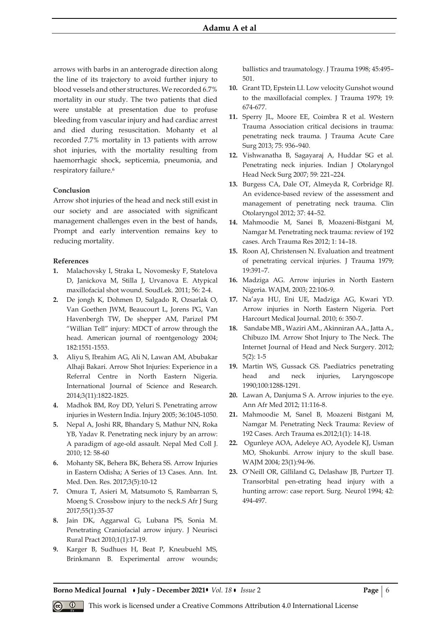arrows with barbs in an anterograde direction along the line of its trajectory to avoid further injury to blood vessels and other structures. We recorded 6.7% mortality in our study. The two patients that died were unstable at presentation due to profuse bleeding from vascular injury and had cardiac arrest and died during resuscitation. Mohanty et al recorded 7.7% mortality in 13 patients with arrow shot injuries, with the mortality resulting from haemorrhagic shock, septicemia, pneumonia, and respiratory failure.<sup>6</sup>

#### **Conclusion**

Arrow shot injuries of the head and neck still exist in our society and are associated with significant management challenges even in the best of hands, Prompt and early intervention remains key to reducing mortality.

#### **References**

- **1.** Malachovsky I, Straka L, Novomesky F, Statelova D, Janickova M, Stilla J, Urvanova E. Atypical maxillofacial shot wound. SoudLek. 2011; 56: 2-4.
- **2.** De jongh K, Dohmen D, Salgado R, Ozsarlak O, Van Goethen JWM, Beaucourt L, Jorens PG, Van Havenbergh TW, De shepper AM, Parizel PM "Willian Tell" injury: MDCT of arrow through the head. American journal of roentgenology 2004; 182:1551-1553.
- **3.** Aliyu S, Ibrahim AG, Ali N, Lawan AM, Abubakar Alhaji Bakari. Arrow Shot Injuries: Experience in a Referral Centre in North Eastern Nigeria. International Journal of Science and Research. 2014;3(11):1822-1825.
- **4.** Madhok BM, Roy DD, Yeluri S. Penetrating arrow injuries in Western India. Injury 2005; 36:1045-1050.
- **5.** Nepal A, Joshi RR, Bhandary S, Mathur NN, Roka YB, Yadav R. Penetrating neck injury by an arrow: A paradigm of age-old assault. Nepal Med Coll J. 2010; 12: 58-60
- **6.** Mohanty SK, Behera BK, Behera SS. Arrow Injuries in Eastern Odisha; A Series of 13 Cases. Ann. Int. Med. Den. Res. 2017;3(5):10-12
- **7.** Omura T, Asieri M, Matsumoto S, Rambarran S, Moeng S. Crossbow injury to the neck.S Afr J Surg 2017;55(1):35-37
- **8.** Jain DK, Aggarwal G, Lubana PS, Sonia M. Penetrating Craniofacial arrow injury. J Neurisci Rural Pract 2010;1(1):17-19.
- **9.** Karger B, Sudhues H, Beat P, Kneubuehl MS, Brinkmann B. Experimental arrow wounds;

ballistics and traumatology. J Trauma 1998; 45:495– 501.

- **10.** Grant TD, Epstein LI. Low velocity Gunshot wound to the maxillofacial complex. J Trauma 1979; 19: 674-677.
- **11.** Sperry JL, Moore EE, Coimbra R et al. Western Trauma Association critical decisions in trauma: penetrating neck trauma. J Trauma Acute Care Surg 2013; 75: 936–940.
- **12.** Vishwanatha B, Sagayaraj A, Huddar SG et al. Penetrating neck injuries. Indian J Otolaryngol Head Neck Surg 2007; 59: 221–224.
- **13.** Burgess CA, Dale OT, Almeyda R, Corbridge RJ. An evidence-based review of the assessment and management of penetrating neck trauma. Clin Otolaryngol 2012; 37: 44–52.
- **14.** Mahmoodie M, Sanei B, Moazeni-Bistgani M, Namgar M. Penetrating neck trauma: review of 192 cases. Arch Trauma Res 2012; 1: 14–18.
- **15.** Roon AJ, Christensen N. Evaluation and treatment of penetrating cervical injuries. J Trauma 1979; 19:391–7.
- **16.** Madziga AG. Arrow injuries in North Eastern Nigeria. WAJM, 2003; 22:106-9.
- **17.** Na'aya HU, Eni UE, Madziga AG, Kwari YD. Arrow injuries in North Eastern Nigeria. Port Harcourt Medical Journal. 2010; 6: 350-7.
- **18.** Sandabe MB., Waziri AM., Akinniran AA., Jatta A., Chibuzo IM. Arrow Shot Injury to The Neck. The Internet Journal of Head and Neck Surgery. 2012; 5(2): 1-5
- **19.** Martin WS, Gussack GS. Paediatrics penetrating head and neck injuries, Laryngoscope 1990;100:1288-1291.
- **20.** Lawan A, Danjuma S A. Arrow injuries to the eye. Ann Afr Med 2012; 11:116-8.
- **21.** Mahmoodie M, Sanel B, Moazeni Bistgani M, Namgar M. Penetrating Neck Trauma: Review of 192 Cases. Arch Trauma es.2012;1(1): 14-18.
- **22.** Ogunleye AOA, Adeleye AO, Ayodele KJ, Usman MO, Shokunbi. Arrow injury to the skull base. WAJM 2004; 23(1):94-96.
- **23.** O'Neill OR, Gilliland G, Delashaw JB, Purtzer TJ. Transorbital pen-etrating head injury with a hunting arrow: case report. Surg. Neurol 1994; 42: 494-497.

**Borno Medical Journal • July - December 2021 •** *Vol.* 18 • *Issue* 2 **Page** | 6